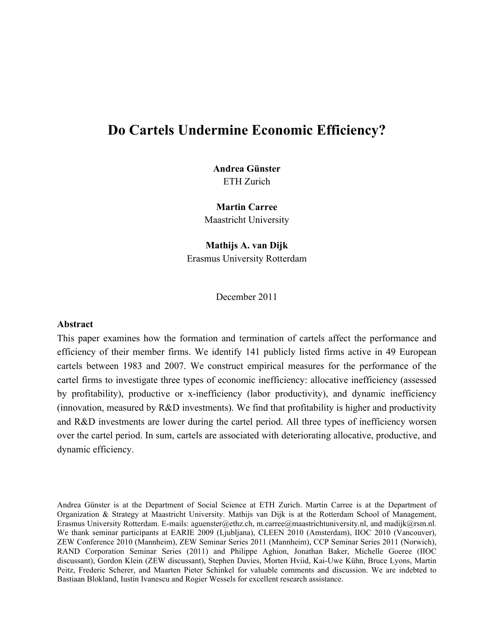# **Do Cartels Undermine Economic Efficiency?**

# **Andrea Günster** ETH Zurich

**Martin Carree** Maastricht University

**Mathijs A. van Dijk** Erasmus University Rotterdam

December 2011

#### **Abstract**

This paper examines how the formation and termination of cartels affect the performance and efficiency of their member firms. We identify 141 publicly listed firms active in 49 European cartels between 1983 and 2007. We construct empirical measures for the performance of the cartel firms to investigate three types of economic inefficiency: allocative inefficiency (assessed by profitability), productive or x-inefficiency (labor productivity), and dynamic inefficiency (innovation, measured by R&D investments). We find that profitability is higher and productivity and R&D investments are lower during the cartel period. All three types of inefficiency worsen over the cartel period. In sum, cartels are associated with deteriorating allocative, productive, and dynamic efficiency.

Andrea Günster is at the Department of Social Science at ETH Zurich. Martin Carree is at the Department of Organization & Strategy at Maastricht University. Mathijs van Dijk is at the Rotterdam School of Management, Erasmus University Rotterdam. E-mails: aguenster@ethz.ch, m.carree@maastrichtuniversity.nl, and madijk@rsm.nl. We thank seminar participants at EARIE 2009 (Ljubljana), CLEEN 2010 (Amsterdam), IIOC 2010 (Vancouver), ZEW Conference 2010 (Mannheim), ZEW Seminar Series 2011 (Mannheim), CCP Seminar Series 2011 (Norwich), RAND Corporation Seminar Series (2011) and Philippe Aghion, Jonathan Baker, Michelle Goeree (IIOC discussant), Gordon Klein (ZEW discussant), Stephen Davies, Morten Hviid, Kai-Uwe Kühn, Bruce Lyons, Martin Peitz, Frederic Scherer, and Maarten Pieter Schinkel for valuable comments and discussion. We are indebted to Bastiaan Blokland, Iustin Ivanescu and Rogier Wessels for excellent research assistance.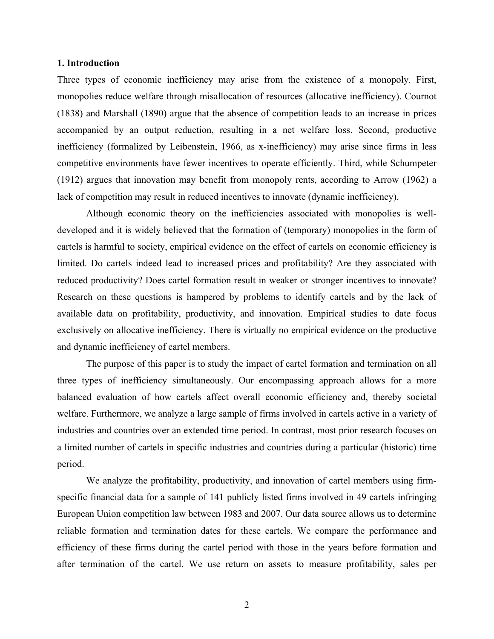#### **1. Introduction**

Three types of economic inefficiency may arise from the existence of a monopoly. First, monopolies reduce welfare through misallocation of resources (allocative inefficiency). Cournot (1838) and Marshall (1890) argue that the absence of competition leads to an increase in prices accompanied by an output reduction, resulting in a net welfare loss. Second, productive inefficiency (formalized by Leibenstein, 1966, as x-inefficiency) may arise since firms in less competitive environments have fewer incentives to operate efficiently. Third, while Schumpeter (1912) argues that innovation may benefit from monopoly rents, according to Arrow (1962) a lack of competition may result in reduced incentives to innovate (dynamic inefficiency).

Although economic theory on the inefficiencies associated with monopolies is welldeveloped and it is widely believed that the formation of (temporary) monopolies in the form of cartels is harmful to society, empirical evidence on the effect of cartels on economic efficiency is limited. Do cartels indeed lead to increased prices and profitability? Are they associated with reduced productivity? Does cartel formation result in weaker or stronger incentives to innovate? Research on these questions is hampered by problems to identify cartels and by the lack of available data on profitability, productivity, and innovation. Empirical studies to date focus exclusively on allocative inefficiency. There is virtually no empirical evidence on the productive and dynamic inefficiency of cartel members.

The purpose of this paper is to study the impact of cartel formation and termination on all three types of inefficiency simultaneously. Our encompassing approach allows for a more balanced evaluation of how cartels affect overall economic efficiency and, thereby societal welfare. Furthermore, we analyze a large sample of firms involved in cartels active in a variety of industries and countries over an extended time period. In contrast, most prior research focuses on a limited number of cartels in specific industries and countries during a particular (historic) time period.

We analyze the profitability, productivity, and innovation of cartel members using firmspecific financial data for a sample of 141 publicly listed firms involved in 49 cartels infringing European Union competition law between 1983 and 2007. Our data source allows us to determine reliable formation and termination dates for these cartels. We compare the performance and efficiency of these firms during the cartel period with those in the years before formation and after termination of the cartel. We use return on assets to measure profitability, sales per

2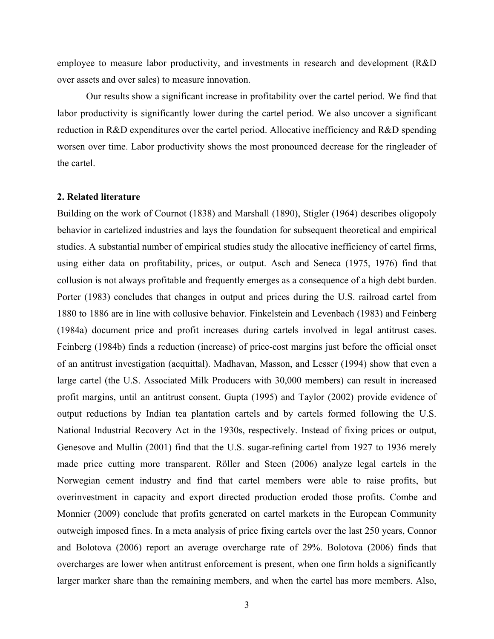employee to measure labor productivity, and investments in research and development (R&D over assets and over sales) to measure innovation.

Our results show a significant increase in profitability over the cartel period. We find that labor productivity is significantly lower during the cartel period. We also uncover a significant reduction in R&D expenditures over the cartel period. Allocative inefficiency and R&D spending worsen over time. Labor productivity shows the most pronounced decrease for the ringleader of the cartel.

#### **2. Related literature**

Building on the work of Cournot (1838) and Marshall (1890), Stigler (1964) describes oligopoly behavior in cartelized industries and lays the foundation for subsequent theoretical and empirical studies. A substantial number of empirical studies study the allocative inefficiency of cartel firms, using either data on profitability, prices, or output. Asch and Seneca (1975, 1976) find that collusion is not always profitable and frequently emerges as a consequence of a high debt burden. Porter (1983) concludes that changes in output and prices during the U.S. railroad cartel from 1880 to 1886 are in line with collusive behavior. Finkelstein and Levenbach (1983) and Feinberg (1984a) document price and profit increases during cartels involved in legal antitrust cases. Feinberg (1984b) finds a reduction (increase) of price-cost margins just before the official onset of an antitrust investigation (acquittal). Madhavan, Masson, and Lesser (1994) show that even a large cartel (the U.S. Associated Milk Producers with 30,000 members) can result in increased profit margins, until an antitrust consent. Gupta (1995) and Taylor (2002) provide evidence of output reductions by Indian tea plantation cartels and by cartels formed following the U.S. National Industrial Recovery Act in the 1930s, respectively. Instead of fixing prices or output, Genesove and Mullin (2001) find that the U.S. sugar-refining cartel from 1927 to 1936 merely made price cutting more transparent. Röller and Steen (2006) analyze legal cartels in the Norwegian cement industry and find that cartel members were able to raise profits, but overinvestment in capacity and export directed production eroded those profits. Combe and Monnier (2009) conclude that profits generated on cartel markets in the European Community outweigh imposed fines. In a meta analysis of price fixing cartels over the last 250 years, Connor and Bolotova (2006) report an average overcharge rate of 29%. Bolotova (2006) finds that overcharges are lower when antitrust enforcement is present, when one firm holds a significantly larger marker share than the remaining members, and when the cartel has more members. Also,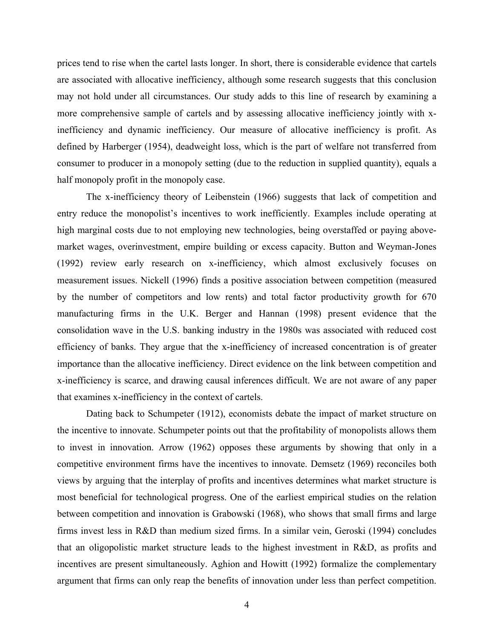prices tend to rise when the cartel lasts longer. In short, there is considerable evidence that cartels are associated with allocative inefficiency, although some research suggests that this conclusion may not hold under all circumstances. Our study adds to this line of research by examining a more comprehensive sample of cartels and by assessing allocative inefficiency jointly with xinefficiency and dynamic inefficiency. Our measure of allocative inefficiency is profit. As defined by Harberger (1954), deadweight loss, which is the part of welfare not transferred from consumer to producer in a monopoly setting (due to the reduction in supplied quantity), equals a half monopoly profit in the monopoly case.

The x-inefficiency theory of Leibenstein (1966) suggests that lack of competition and entry reduce the monopolist's incentives to work inefficiently. Examples include operating at high marginal costs due to not employing new technologies, being overstaffed or paying abovemarket wages, overinvestment, empire building or excess capacity. Button and Weyman-Jones (1992) review early research on x-inefficiency, which almost exclusively focuses on measurement issues. Nickell (1996) finds a positive association between competition (measured by the number of competitors and low rents) and total factor productivity growth for 670 manufacturing firms in the U.K. Berger and Hannan (1998) present evidence that the consolidation wave in the U.S. banking industry in the 1980s was associated with reduced cost efficiency of banks. They argue that the x-inefficiency of increased concentration is of greater importance than the allocative inefficiency. Direct evidence on the link between competition and x-inefficiency is scarce, and drawing causal inferences difficult. We are not aware of any paper that examines x-inefficiency in the context of cartels.

Dating back to Schumpeter (1912), economists debate the impact of market structure on the incentive to innovate. Schumpeter points out that the profitability of monopolists allows them to invest in innovation. Arrow (1962) opposes these arguments by showing that only in a competitive environment firms have the incentives to innovate. Demsetz (1969) reconciles both views by arguing that the interplay of profits and incentives determines what market structure is most beneficial for technological progress. One of the earliest empirical studies on the relation between competition and innovation is Grabowski (1968), who shows that small firms and large firms invest less in R&D than medium sized firms. In a similar vein, Geroski (1994) concludes that an oligopolistic market structure leads to the highest investment in R&D, as profits and incentives are present simultaneously. Aghion and Howitt (1992) formalize the complementary argument that firms can only reap the benefits of innovation under less than perfect competition.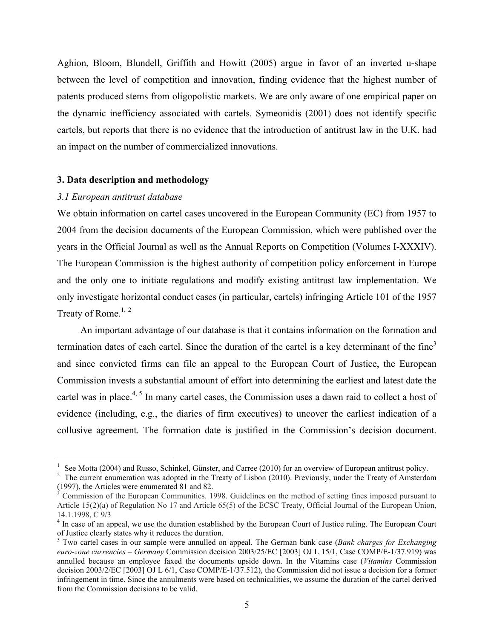Aghion, Bloom, Blundell, Griffith and Howitt (2005) argue in favor of an inverted u-shape between the level of competition and innovation, finding evidence that the highest number of patents produced stems from oligopolistic markets. We are only aware of one empirical paper on the dynamic inefficiency associated with cartels. Symeonidis (2001) does not identify specific cartels, but reports that there is no evidence that the introduction of antitrust law in the U.K. had an impact on the number of commercialized innovations.

### **3. Data description and methodology**

#### *3.1 European antitrust database*

We obtain information on cartel cases uncovered in the European Community (EC) from 1957 to 2004 from the decision documents of the European Commission, which were published over the years in the Official Journal as well as the Annual Reports on Competition (Volumes I-XXXIV). The European Commission is the highest authority of competition policy enforcement in Europe and the only one to initiate regulations and modify existing antitrust law implementation. We only investigate horizontal conduct cases (in particular, cartels) infringing Article 101 of the 1957 Treaty of Rome.<sup>1, 2</sup>

An important advantage of our database is that it contains information on the formation and termination dates of each cartel. Since the duration of the cartel is a key determinant of the fine<sup>3</sup> and since convicted firms can file an appeal to the European Court of Justice, the European Commission invests a substantial amount of effort into determining the earliest and latest date the cartel was in place.<sup>4, 5</sup> In many cartel cases, the Commission uses a dawn raid to collect a host of evidence (including, e.g., the diaries of firm executives) to uncover the earliest indication of a collusive agreement. The formation date is justified in the Commission's decision document.

See Motta (2004) and Russo, Schinkel, Günster, and Carree (2010) for an overview of European antitrust policy.

 $2$  The current enumeration was adopted in the Treaty of Lisbon (2010). Previously, under the Treaty of Amsterdam (1997), the Articles were enumerated 81 and 82.<br><sup>3</sup> Commission of the European Communities. 1998. Guidelines on the method of setting fines imposed pursuant to

Article 15(2)(a) of Regulation No 17 and Article 65(5) of the ECSC Treaty, Official Journal of the European Union, 14.1.1998, C 9/3

<sup>&</sup>lt;sup>4</sup> In case of an appeal, we use the duration established by the European Court of Justice ruling. The European Court of Justice clearly states why it reduces the duration.

<sup>5</sup> Two cartel cases in our sample were annulled on appeal. The German bank case (*Bank charges for Exchanging euro-zone currencies – Germany* Commission decision 2003/25/EC [2003] OJ L 15/1, Case COMP/E-1/37.919) was annulled because an employee faxed the documents upside down. In the Vitamins case (*Vitamins* Commission decision 2003/2/EC [2003] OJ L 6/1, Case COMP/E-1/37.512), the Commission did not issue a decision for a former infringement in time. Since the annulments were based on technicalities, we assume the duration of the cartel derived from the Commission decisions to be valid.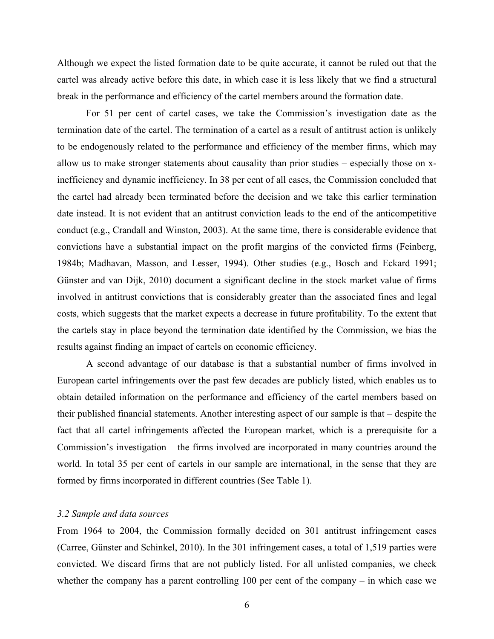Although we expect the listed formation date to be quite accurate, it cannot be ruled out that the cartel was already active before this date, in which case it is less likely that we find a structural break in the performance and efficiency of the cartel members around the formation date.

For 51 per cent of cartel cases, we take the Commission's investigation date as the termination date of the cartel. The termination of a cartel as a result of antitrust action is unlikely to be endogenously related to the performance and efficiency of the member firms, which may allow us to make stronger statements about causality than prior studies – especially those on xinefficiency and dynamic inefficiency. In 38 per cent of all cases, the Commission concluded that the cartel had already been terminated before the decision and we take this earlier termination date instead. It is not evident that an antitrust conviction leads to the end of the anticompetitive conduct (e.g., Crandall and Winston, 2003). At the same time, there is considerable evidence that convictions have a substantial impact on the profit margins of the convicted firms (Feinberg, 1984b; Madhavan, Masson, and Lesser, 1994). Other studies (e.g., Bosch and Eckard 1991; Günster and van Dijk, 2010) document a significant decline in the stock market value of firms involved in antitrust convictions that is considerably greater than the associated fines and legal costs, which suggests that the market expects a decrease in future profitability. To the extent that the cartels stay in place beyond the termination date identified by the Commission, we bias the results against finding an impact of cartels on economic efficiency.

A second advantage of our database is that a substantial number of firms involved in European cartel infringements over the past few decades are publicly listed, which enables us to obtain detailed information on the performance and efficiency of the cartel members based on their published financial statements. Another interesting aspect of our sample is that – despite the fact that all cartel infringements affected the European market, which is a prerequisite for a Commission's investigation – the firms involved are incorporated in many countries around the world. In total 35 per cent of cartels in our sample are international, in the sense that they are formed by firms incorporated in different countries (See Table 1).

### *3.2 Sample and data sources*

From 1964 to 2004, the Commission formally decided on 301 antitrust infringement cases (Carree, Günster and Schinkel, 2010). In the 301 infringement cases, a total of 1,519 parties were convicted. We discard firms that are not publicly listed. For all unlisted companies, we check whether the company has a parent controlling 100 per cent of the company – in which case we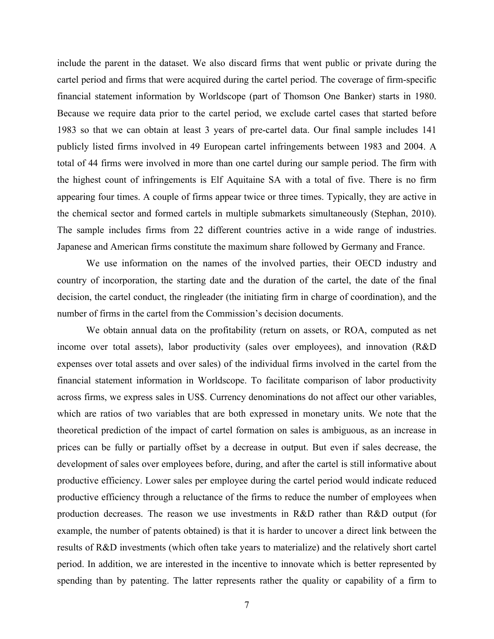include the parent in the dataset. We also discard firms that went public or private during the cartel period and firms that were acquired during the cartel period. The coverage of firm-specific financial statement information by Worldscope (part of Thomson One Banker) starts in 1980. Because we require data prior to the cartel period, we exclude cartel cases that started before 1983 so that we can obtain at least 3 years of pre-cartel data. Our final sample includes 141 publicly listed firms involved in 49 European cartel infringements between 1983 and 2004. A total of 44 firms were involved in more than one cartel during our sample period. The firm with the highest count of infringements is Elf Aquitaine SA with a total of five. There is no firm appearing four times. A couple of firms appear twice or three times. Typically, they are active in the chemical sector and formed cartels in multiple submarkets simultaneously (Stephan, 2010). The sample includes firms from 22 different countries active in a wide range of industries. Japanese and American firms constitute the maximum share followed by Germany and France.

We use information on the names of the involved parties, their OECD industry and country of incorporation, the starting date and the duration of the cartel, the date of the final decision, the cartel conduct, the ringleader (the initiating firm in charge of coordination), and the number of firms in the cartel from the Commission's decision documents.

We obtain annual data on the profitability (return on assets, or ROA, computed as net income over total assets), labor productivity (sales over employees), and innovation (R&D expenses over total assets and over sales) of the individual firms involved in the cartel from the financial statement information in Worldscope. To facilitate comparison of labor productivity across firms, we express sales in US\$. Currency denominations do not affect our other variables, which are ratios of two variables that are both expressed in monetary units. We note that the theoretical prediction of the impact of cartel formation on sales is ambiguous, as an increase in prices can be fully or partially offset by a decrease in output. But even if sales decrease, the development of sales over employees before, during, and after the cartel is still informative about productive efficiency. Lower sales per employee during the cartel period would indicate reduced productive efficiency through a reluctance of the firms to reduce the number of employees when production decreases. The reason we use investments in R&D rather than R&D output (for example, the number of patents obtained) is that it is harder to uncover a direct link between the results of R&D investments (which often take years to materialize) and the relatively short cartel period. In addition, we are interested in the incentive to innovate which is better represented by spending than by patenting. The latter represents rather the quality or capability of a firm to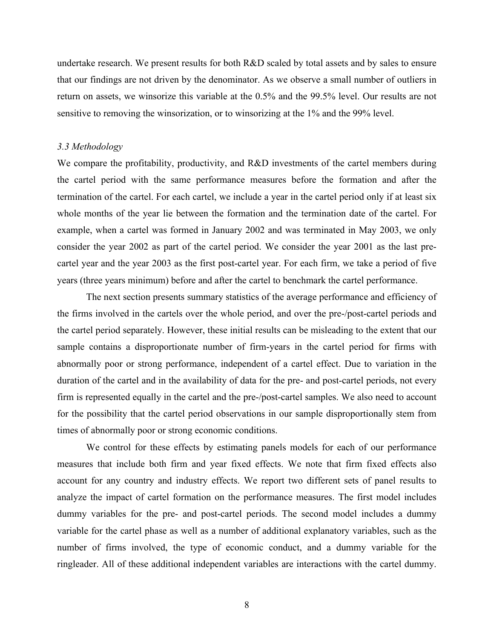undertake research. We present results for both R&D scaled by total assets and by sales to ensure that our findings are not driven by the denominator. As we observe a small number of outliers in return on assets, we winsorize this variable at the 0.5% and the 99.5% level. Our results are not sensitive to removing the winsorization, or to winsorizing at the 1% and the 99% level.

#### *3.3 Methodology*

We compare the profitability, productivity, and R&D investments of the cartel members during the cartel period with the same performance measures before the formation and after the termination of the cartel. For each cartel, we include a year in the cartel period only if at least six whole months of the year lie between the formation and the termination date of the cartel. For example, when a cartel was formed in January 2002 and was terminated in May 2003, we only consider the year 2002 as part of the cartel period. We consider the year 2001 as the last precartel year and the year 2003 as the first post-cartel year. For each firm, we take a period of five years (three years minimum) before and after the cartel to benchmark the cartel performance.

The next section presents summary statistics of the average performance and efficiency of the firms involved in the cartels over the whole period, and over the pre-/post-cartel periods and the cartel period separately. However, these initial results can be misleading to the extent that our sample contains a disproportionate number of firm-years in the cartel period for firms with abnormally poor or strong performance, independent of a cartel effect. Due to variation in the duration of the cartel and in the availability of data for the pre- and post-cartel periods, not every firm is represented equally in the cartel and the pre-/post-cartel samples. We also need to account for the possibility that the cartel period observations in our sample disproportionally stem from times of abnormally poor or strong economic conditions.

We control for these effects by estimating panels models for each of our performance measures that include both firm and year fixed effects. We note that firm fixed effects also account for any country and industry effects. We report two different sets of panel results to analyze the impact of cartel formation on the performance measures. The first model includes dummy variables for the pre- and post-cartel periods. The second model includes a dummy variable for the cartel phase as well as a number of additional explanatory variables, such as the number of firms involved, the type of economic conduct, and a dummy variable for the ringleader. All of these additional independent variables are interactions with the cartel dummy.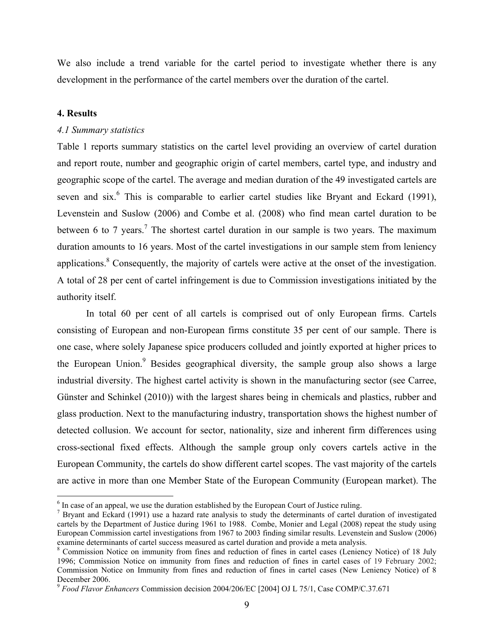We also include a trend variable for the cartel period to investigate whether there is any development in the performance of the cartel members over the duration of the cartel.

### **4. Results**

# *4.1 Summary statistics*

Table 1 reports summary statistics on the cartel level providing an overview of cartel duration and report route, number and geographic origin of cartel members, cartel type, and industry and geographic scope of the cartel. The average and median duration of the 49 investigated cartels are seven and six.<sup>6</sup> This is comparable to earlier cartel studies like Bryant and Eckard (1991), Levenstein and Suslow (2006) and Combe et al. (2008) who find mean cartel duration to be between 6 to 7 years.<sup>7</sup> The shortest cartel duration in our sample is two years. The maximum duration amounts to 16 years. Most of the cartel investigations in our sample stem from leniency applications.<sup>8</sup> Consequently, the majority of cartels were active at the onset of the investigation. A total of 28 per cent of cartel infringement is due to Commission investigations initiated by the authority itself.

In total 60 per cent of all cartels is comprised out of only European firms. Cartels consisting of European and non-European firms constitute 35 per cent of our sample. There is one case, where solely Japanese spice producers colluded and jointly exported at higher prices to the European Union.<sup>9</sup> Besides geographical diversity, the sample group also shows a large industrial diversity. The highest cartel activity is shown in the manufacturing sector (see Carree, Günster and Schinkel (2010)) with the largest shares being in chemicals and plastics, rubber and glass production. Next to the manufacturing industry, transportation shows the highest number of detected collusion. We account for sector, nationality, size and inherent firm differences using cross-sectional fixed effects. Although the sample group only covers cartels active in the European Community, the cartels do show different cartel scopes. The vast majority of the cartels are active in more than one Member State of the European Community (European market). The

 $\frac{1}{6}$  $6$  In case of an appeal, we use the duration established by the European Court of Justice ruling.

<sup>&</sup>lt;sup>7</sup> Bryant and Eckard (1991) use a hazard rate analysis to study the determinants of cartel duration of investigated cartels by the Department of Justice during 1961 to 1988. Combe, Monier and Legal (2008) repeat the study using European Commission cartel investigations from 1967 to 2003 finding similar results. Levenstein and Suslow (2006) examine determinants of cartel success measured as cartel duration and provide a meta analysis.

<sup>&</sup>lt;sup>8</sup> Commission Notice on immunity from fines and reduction of fines in cartel cases (Leniency Notice) of 18 July 1996; Commission Notice on immunity from fines and reduction of fines in cartel cases of 19 February 2002; Commission Notice on Immunity from fines and reduction of fines in cartel cases (New Leniency Notice) of 8 December 2006.

<sup>9</sup> *Food Flavor Enhancers* Commission decision 2004/206/EC [2004] OJ L 75/1, Case COMP/C.37.671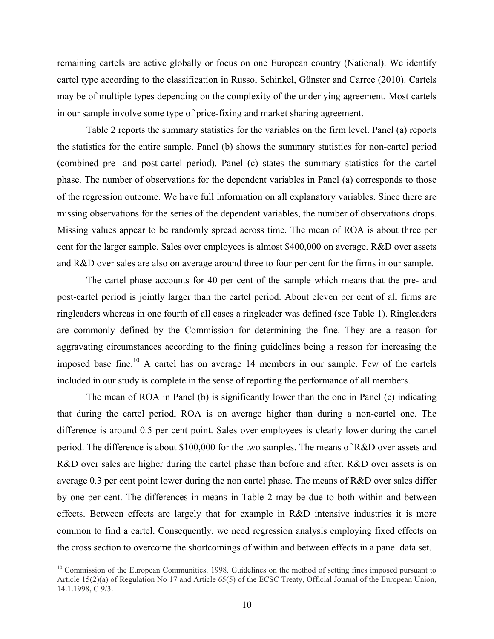remaining cartels are active globally or focus on one European country (National). We identify cartel type according to the classification in Russo, Schinkel, Günster and Carree (2010). Cartels may be of multiple types depending on the complexity of the underlying agreement. Most cartels in our sample involve some type of price-fixing and market sharing agreement.

Table 2 reports the summary statistics for the variables on the firm level. Panel (a) reports the statistics for the entire sample. Panel (b) shows the summary statistics for non-cartel period (combined pre- and post-cartel period). Panel (c) states the summary statistics for the cartel phase. The number of observations for the dependent variables in Panel (a) corresponds to those of the regression outcome. We have full information on all explanatory variables. Since there are missing observations for the series of the dependent variables, the number of observations drops. Missing values appear to be randomly spread across time. The mean of ROA is about three per cent for the larger sample. Sales over employees is almost \$400,000 on average. R&D over assets and R&D over sales are also on average around three to four per cent for the firms in our sample.

The cartel phase accounts for 40 per cent of the sample which means that the pre- and post-cartel period is jointly larger than the cartel period. About eleven per cent of all firms are ringleaders whereas in one fourth of all cases a ringleader was defined (see Table 1). Ringleaders are commonly defined by the Commission for determining the fine. They are a reason for aggravating circumstances according to the fining guidelines being a reason for increasing the imposed base fine.<sup>10</sup> A cartel has on average 14 members in our sample. Few of the cartels included in our study is complete in the sense of reporting the performance of all members.

The mean of ROA in Panel (b) is significantly lower than the one in Panel (c) indicating that during the cartel period, ROA is on average higher than during a non-cartel one. The difference is around 0.5 per cent point. Sales over employees is clearly lower during the cartel period. The difference is about \$100,000 for the two samples. The means of R&D over assets and R&D over sales are higher during the cartel phase than before and after. R&D over assets is on average 0.3 per cent point lower during the non cartel phase. The means of R&D over sales differ by one per cent. The differences in means in Table 2 may be due to both within and between effects. Between effects are largely that for example in R&D intensive industries it is more common to find a cartel. Consequently, we need regression analysis employing fixed effects on the cross section to overcome the shortcomings of within and between effects in a panel data set.

<sup>&</sup>lt;sup>10</sup> Commission of the European Communities. 1998. Guidelines on the method of setting fines imposed pursuant to Article 15(2)(a) of Regulation No 17 and Article 65(5) of the ECSC Treaty, Official Journal of the European Union, 14.1.1998, C 9/3.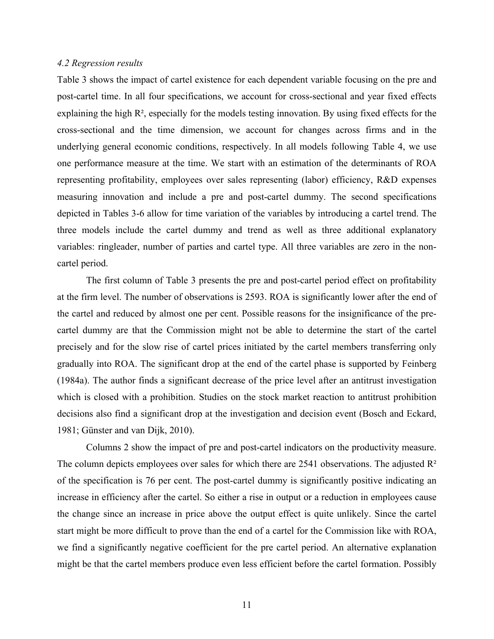#### *4.2 Regression results*

Table 3 shows the impact of cartel existence for each dependent variable focusing on the pre and post-cartel time. In all four specifications, we account for cross-sectional and year fixed effects explaining the high R², especially for the models testing innovation. By using fixed effects for the cross-sectional and the time dimension, we account for changes across firms and in the underlying general economic conditions, respectively. In all models following Table 4, we use one performance measure at the time. We start with an estimation of the determinants of ROA representing profitability, employees over sales representing (labor) efficiency, R&D expenses measuring innovation and include a pre and post-cartel dummy. The second specifications depicted in Tables 3-6 allow for time variation of the variables by introducing a cartel trend. The three models include the cartel dummy and trend as well as three additional explanatory variables: ringleader, number of parties and cartel type. All three variables are zero in the noncartel period.

The first column of Table 3 presents the pre and post-cartel period effect on profitability at the firm level. The number of observations is 2593. ROA is significantly lower after the end of the cartel and reduced by almost one per cent. Possible reasons for the insignificance of the precartel dummy are that the Commission might not be able to determine the start of the cartel precisely and for the slow rise of cartel prices initiated by the cartel members transferring only gradually into ROA. The significant drop at the end of the cartel phase is supported by Feinberg (1984a). The author finds a significant decrease of the price level after an antitrust investigation which is closed with a prohibition. Studies on the stock market reaction to antitrust prohibition decisions also find a significant drop at the investigation and decision event (Bosch and Eckard, 1981; Günster and van Dijk, 2010).

Columns 2 show the impact of pre and post-cartel indicators on the productivity measure. The column depicts employees over sales for which there are 2541 observations. The adjusted  $\mathbb{R}^2$ of the specification is 76 per cent. The post-cartel dummy is significantly positive indicating an increase in efficiency after the cartel. So either a rise in output or a reduction in employees cause the change since an increase in price above the output effect is quite unlikely. Since the cartel start might be more difficult to prove than the end of a cartel for the Commission like with ROA, we find a significantly negative coefficient for the pre cartel period. An alternative explanation might be that the cartel members produce even less efficient before the cartel formation. Possibly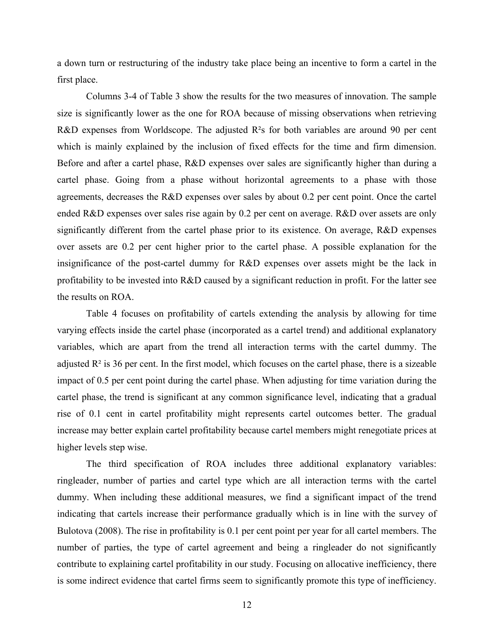a down turn or restructuring of the industry take place being an incentive to form a cartel in the first place.

Columns 3-4 of Table 3 show the results for the two measures of innovation. The sample size is significantly lower as the one for ROA because of missing observations when retrieving R&D expenses from Worldscope. The adjusted R<sup>2</sup>s for both variables are around 90 per cent which is mainly explained by the inclusion of fixed effects for the time and firm dimension. Before and after a cartel phase, R&D expenses over sales are significantly higher than during a cartel phase. Going from a phase without horizontal agreements to a phase with those agreements, decreases the R&D expenses over sales by about 0.2 per cent point. Once the cartel ended R&D expenses over sales rise again by 0.2 per cent on average. R&D over assets are only significantly different from the cartel phase prior to its existence. On average, R&D expenses over assets are 0.2 per cent higher prior to the cartel phase. A possible explanation for the insignificance of the post-cartel dummy for R&D expenses over assets might be the lack in profitability to be invested into R&D caused by a significant reduction in profit. For the latter see the results on ROA.

Table 4 focuses on profitability of cartels extending the analysis by allowing for time varying effects inside the cartel phase (incorporated as a cartel trend) and additional explanatory variables, which are apart from the trend all interaction terms with the cartel dummy. The adjusted  $\mathbb{R}^2$  is 36 per cent. In the first model, which focuses on the cartel phase, there is a sizeable impact of 0.5 per cent point during the cartel phase. When adjusting for time variation during the cartel phase, the trend is significant at any common significance level, indicating that a gradual rise of 0.1 cent in cartel profitability might represents cartel outcomes better. The gradual increase may better explain cartel profitability because cartel members might renegotiate prices at higher levels step wise.

The third specification of ROA includes three additional explanatory variables: ringleader, number of parties and cartel type which are all interaction terms with the cartel dummy. When including these additional measures, we find a significant impact of the trend indicating that cartels increase their performance gradually which is in line with the survey of Bulotova (2008). The rise in profitability is 0.1 per cent point per year for all cartel members. The number of parties, the type of cartel agreement and being a ringleader do not significantly contribute to explaining cartel profitability in our study. Focusing on allocative inefficiency, there is some indirect evidence that cartel firms seem to significantly promote this type of inefficiency.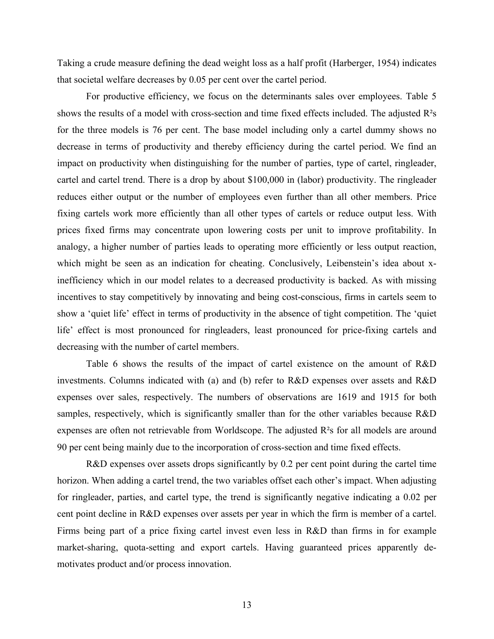Taking a crude measure defining the dead weight loss as a half profit (Harberger, 1954) indicates that societal welfare decreases by 0.05 per cent over the cartel period.

For productive efficiency, we focus on the determinants sales over employees. Table 5 shows the results of a model with cross-section and time fixed effects included. The adjusted R²s for the three models is 76 per cent. The base model including only a cartel dummy shows no decrease in terms of productivity and thereby efficiency during the cartel period. We find an impact on productivity when distinguishing for the number of parties, type of cartel, ringleader, cartel and cartel trend. There is a drop by about \$100,000 in (labor) productivity. The ringleader reduces either output or the number of employees even further than all other members. Price fixing cartels work more efficiently than all other types of cartels or reduce output less. With prices fixed firms may concentrate upon lowering costs per unit to improve profitability. In analogy, a higher number of parties leads to operating more efficiently or less output reaction, which might be seen as an indication for cheating. Conclusively, Leibenstein's idea about xinefficiency which in our model relates to a decreased productivity is backed. As with missing incentives to stay competitively by innovating and being cost-conscious, firms in cartels seem to show a 'quiet life' effect in terms of productivity in the absence of tight competition. The 'quiet life' effect is most pronounced for ringleaders, least pronounced for price-fixing cartels and decreasing with the number of cartel members.

Table 6 shows the results of the impact of cartel existence on the amount of R&D investments. Columns indicated with (a) and (b) refer to R&D expenses over assets and R&D expenses over sales, respectively. The numbers of observations are 1619 and 1915 for both samples, respectively, which is significantly smaller than for the other variables because R&D expenses are often not retrievable from Worldscope. The adjusted R²s for all models are around 90 per cent being mainly due to the incorporation of cross-section and time fixed effects.

R&D expenses over assets drops significantly by 0.2 per cent point during the cartel time horizon. When adding a cartel trend, the two variables offset each other's impact. When adjusting for ringleader, parties, and cartel type, the trend is significantly negative indicating a 0.02 per cent point decline in R&D expenses over assets per year in which the firm is member of a cartel. Firms being part of a price fixing cartel invest even less in R&D than firms in for example market-sharing, quota-setting and export cartels. Having guaranteed prices apparently demotivates product and/or process innovation.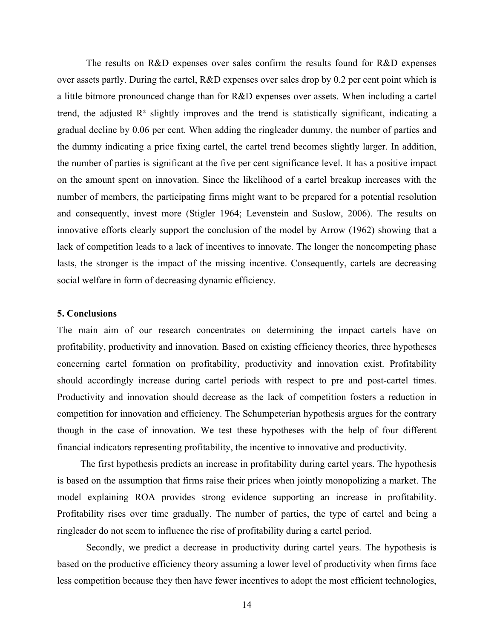The results on R&D expenses over sales confirm the results found for R&D expenses over assets partly. During the cartel, R&D expenses over sales drop by 0.2 per cent point which is a little bitmore pronounced change than for R&D expenses over assets. When including a cartel trend, the adjusted  $\mathbb{R}^2$  slightly improves and the trend is statistically significant, indicating a gradual decline by 0.06 per cent. When adding the ringleader dummy, the number of parties and the dummy indicating a price fixing cartel, the cartel trend becomes slightly larger. In addition, the number of parties is significant at the five per cent significance level. It has a positive impact on the amount spent on innovation. Since the likelihood of a cartel breakup increases with the number of members, the participating firms might want to be prepared for a potential resolution and consequently, invest more (Stigler 1964; Levenstein and Suslow, 2006). The results on innovative efforts clearly support the conclusion of the model by Arrow (1962) showing that a lack of competition leads to a lack of incentives to innovate. The longer the noncompeting phase lasts, the stronger is the impact of the missing incentive. Consequently, cartels are decreasing social welfare in form of decreasing dynamic efficiency.

#### **5. Conclusions**

The main aim of our research concentrates on determining the impact cartels have on profitability, productivity and innovation. Based on existing efficiency theories, three hypotheses concerning cartel formation on profitability, productivity and innovation exist. Profitability should accordingly increase during cartel periods with respect to pre and post-cartel times. Productivity and innovation should decrease as the lack of competition fosters a reduction in competition for innovation and efficiency. The Schumpeterian hypothesis argues for the contrary though in the case of innovation. We test these hypotheses with the help of four different financial indicators representing profitability, the incentive to innovative and productivity.

The first hypothesis predicts an increase in profitability during cartel years. The hypothesis is based on the assumption that firms raise their prices when jointly monopolizing a market. The model explaining ROA provides strong evidence supporting an increase in profitability. Profitability rises over time gradually. The number of parties, the type of cartel and being a ringleader do not seem to influence the rise of profitability during a cartel period.

Secondly, we predict a decrease in productivity during cartel years. The hypothesis is based on the productive efficiency theory assuming a lower level of productivity when firms face less competition because they then have fewer incentives to adopt the most efficient technologies,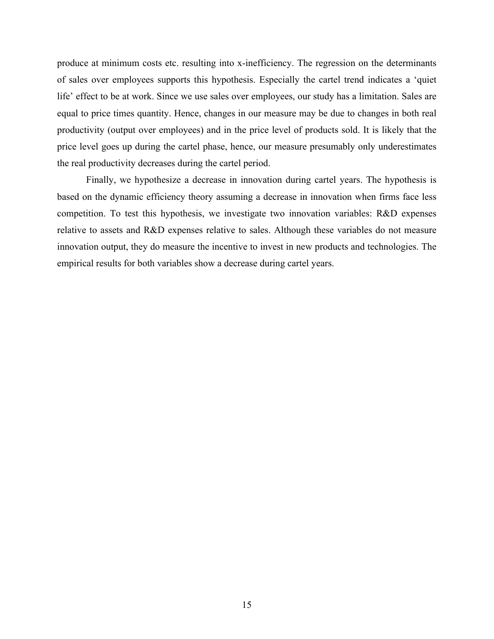produce at minimum costs etc. resulting into x-inefficiency. The regression on the determinants of sales over employees supports this hypothesis. Especially the cartel trend indicates a 'quiet life' effect to be at work. Since we use sales over employees, our study has a limitation. Sales are equal to price times quantity. Hence, changes in our measure may be due to changes in both real productivity (output over employees) and in the price level of products sold. It is likely that the price level goes up during the cartel phase, hence, our measure presumably only underestimates the real productivity decreases during the cartel period.

Finally, we hypothesize a decrease in innovation during cartel years. The hypothesis is based on the dynamic efficiency theory assuming a decrease in innovation when firms face less competition. To test this hypothesis, we investigate two innovation variables: R&D expenses relative to assets and R&D expenses relative to sales. Although these variables do not measure innovation output, they do measure the incentive to invest in new products and technologies. The empirical results for both variables show a decrease during cartel years.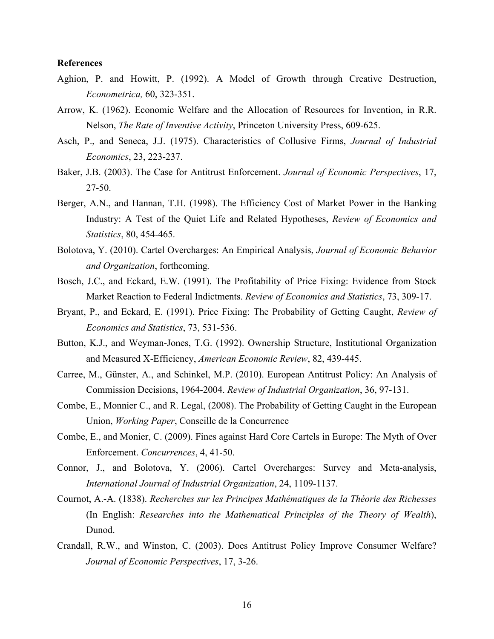#### **References**

- Aghion, P. and Howitt, P. (1992). A Model of Growth through Creative Destruction, *Econometrica,* 60, 323-351.
- Arrow, K. (1962). Economic Welfare and the Allocation of Resources for Invention, in R.R. Nelson, *The Rate of Inventive Activity*, Princeton University Press, 609-625.
- Asch, P., and Seneca, J.J. (1975). Characteristics of Collusive Firms, *Journal of Industrial Economics*, 23, 223-237.
- Baker, J.B. (2003). The Case for Antitrust Enforcement. *Journal of Economic Perspectives*, 17, 27-50.
- Berger, A.N., and Hannan, T.H. (1998). The Efficiency Cost of Market Power in the Banking Industry: A Test of the Quiet Life and Related Hypotheses, *Review of Economics and Statistics*, 80, 454-465.
- Bolotova, Y. (2010). Cartel Overcharges: An Empirical Analysis, *Journal of Economic Behavior and Organization*, forthcoming*.*
- Bosch, J.C., and Eckard, E.W. (1991). The Profitability of Price Fixing: Evidence from Stock Market Reaction to Federal Indictments. *Review of Economics and Statistics*, 73, 309-17.
- Bryant, P., and Eckard, E. (1991). Price Fixing: The Probability of Getting Caught, *Review of Economics and Statistics*, 73, 531-536.
- Button, K.J., and Weyman-Jones, T.G. (1992). Ownership Structure, Institutional Organization and Measured X-Efficiency, *American Economic Review*, 82, 439-445.
- Carree, M., Günster, A., and Schinkel, M.P. (2010). European Antitrust Policy: An Analysis of Commission Decisions, 1964-2004. *Review of Industrial Organization*, 36, 97-131.
- Combe, E., Monnier C., and R. Legal, (2008). The Probability of Getting Caught in the European Union, *Working Paper*, Conseille de la Concurrence
- Combe, E., and Monier, C. (2009). Fines against Hard Core Cartels in Europe: The Myth of Over Enforcement. *Concurrences*, 4, 41-50.
- Connor, J., and Bolotova, Y. (2006). Cartel Overcharges: Survey and Meta-analysis, *International Journal of Industrial Organization*, 24, 1109-1137.
- Cournot, A.-A. (1838). *Recherches sur les Principes Mathématiques de la Théorie des Richesses* (In English: *Researches into the Mathematical Principles of the Theory of Wealth*), Dunod.
- Crandall, R.W., and Winston, C. (2003). Does Antitrust Policy Improve Consumer Welfare? *Journal of Economic Perspectives*, 17, 3-26.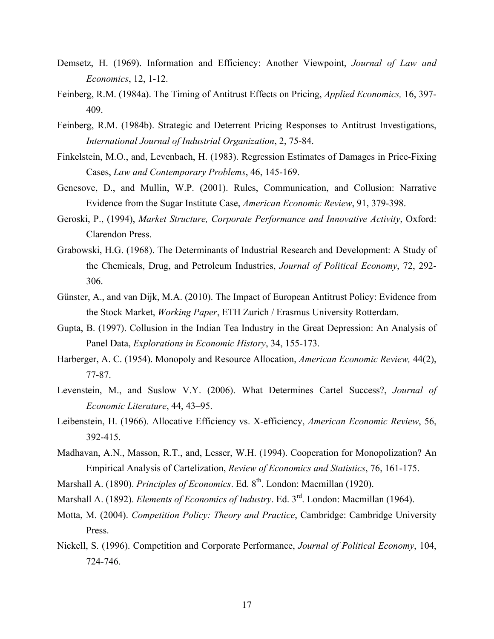- Demsetz, H. (1969). Information and Efficiency: Another Viewpoint, *Journal of Law and Economics*, 12, 1-12.
- Feinberg, R.M. (1984a). The Timing of Antitrust Effects on Pricing, *Applied Economics,* 16, 397- 409.
- Feinberg, R.M. (1984b). Strategic and Deterrent Pricing Responses to Antitrust Investigations, *International Journal of Industrial Organization*, 2, 75-84.
- Finkelstein, M.O., and, Levenbach, H. (1983). Regression Estimates of Damages in Price-Fixing Cases, *Law and Contemporary Problems*, 46, 145-169.
- Genesove, D., and Mullin, W.P. (2001). Rules, Communication, and Collusion: Narrative Evidence from the Sugar Institute Case, *American Economic Review*, 91, 379-398.
- Geroski, P., (1994), *Market Structure, Corporate Performance and Innovative Activity*, Oxford: Clarendon Press.
- Grabowski, H.G. (1968). The Determinants of Industrial Research and Development: A Study of the Chemicals, Drug, and Petroleum Industries, *Journal of Political Economy*, 72, 292- 306.
- Günster, A., and van Dijk, M.A. (2010). The Impact of European Antitrust Policy: Evidence from the Stock Market, *Working Paper*, ETH Zurich / Erasmus University Rotterdam.
- Gupta, B. (1997). Collusion in the Indian Tea Industry in the Great Depression: An Analysis of Panel Data, *Explorations in Economic History*, 34, 155-173.
- Harberger, A. C. (1954). Monopoly and Resource Allocation, *American Economic Review,* 44(2), 77-87.
- Levenstein, M., and Suslow V.Y. (2006). What Determines Cartel Success?, *Journal of Economic Literature*, 44, 43–95.
- Leibenstein, H. (1966). Allocative Efficiency vs. X-efficiency, *American Economic Review*, 56, 392-415.
- Madhavan, A.N., Masson, R.T., and, Lesser, W.H. (1994). Cooperation for Monopolization? An Empirical Analysis of Cartelization, *Review of Economics and Statistics*, 76, 161-175.
- Marshall A. (1890). *Principles of Economics*. Ed. 8<sup>th</sup>. London: Macmillan (1920).
- Marshall A. (1892). *Elements of Economics of Industry*. Ed. 3<sup>rd</sup>. London: Macmillan (1964).
- Motta, M. (2004). *Competition Policy: Theory and Practice*, Cambridge: Cambridge University Press.
- Nickell, S. (1996). Competition and Corporate Performance, *Journal of Political Economy*, 104, 724-746.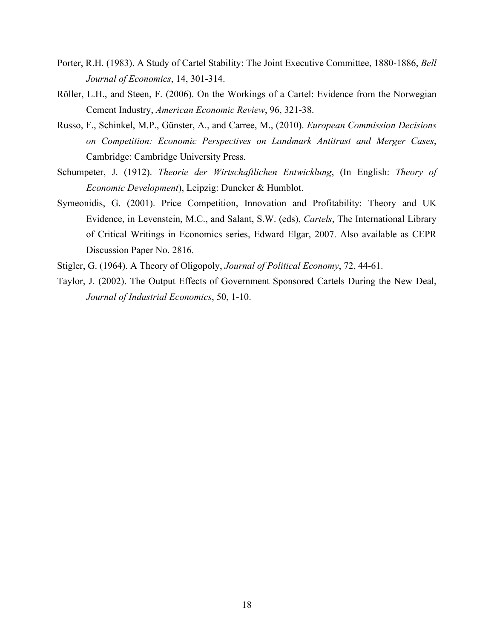- Porter, R.H. (1983). A Study of Cartel Stability: The Joint Executive Committee, 1880-1886, *Bell Journal of Economics*, 14, 301-314.
- Röller, L.H., and Steen, F. (2006). On the Workings of a Cartel: Evidence from the Norwegian Cement Industry, *American Economic Review*, 96, 321-38.
- Russo, F., Schinkel, M.P., Günster, A., and Carree, M., (2010). *European Commission Decisions on Competition: Economic Perspectives on Landmark Antitrust and Merger Cases*, Cambridge: Cambridge University Press.
- Schumpeter, J. (1912). *Theorie der Wirtschaftlichen Entwicklung*, (In English: *Theory of Economic Development*), Leipzig: Duncker & Humblot.
- Symeonidis, G. (2001). Price Competition, Innovation and Profitability: Theory and UK Evidence, in Levenstein, M.C., and Salant, S.W. (eds), *Cartels*, The International Library of Critical Writings in Economics series, Edward Elgar, 2007. Also available as CEPR Discussion Paper No. 2816.
- Stigler, G. (1964). A Theory of Oligopoly, *Journal of Political Economy*, 72, 44-61.
- Taylor, J. (2002). The Output Effects of Government Sponsored Cartels During the New Deal, *Journal of Industrial Economics*, 50, 1-10.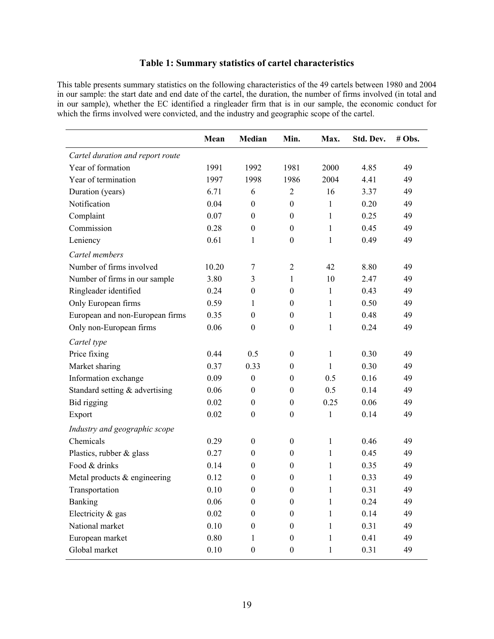# **Table 1: Summary statistics of cartel characteristics**

This table presents summary statistics on the following characteristics of the 49 cartels between 1980 and 2004 in our sample: the start date and end date of the cartel, the duration, the number of firms involved (in total and in in our sample), whether the EC identified a ringleader firm that is in our sample, the economic conduct for which the firms involved were convicted, and the industry and geographic scope of the cartel.

|                                  | Mean  | Median           | Min.             | Max.         | Std. Dev. | # Obs. |
|----------------------------------|-------|------------------|------------------|--------------|-----------|--------|
| Cartel duration and report route |       |                  |                  |              |           |        |
| Year of formation                | 1991  | 1992             | 1981             | 2000         | 4.85      | 49     |
| Year of termination              | 1997  | 1998             | 1986             | 2004         | 4.41      | 49     |
| Duration (years)                 | 6.71  | 6                | $\overline{2}$   | 16           | 3.37      | 49     |
| Notification                     | 0.04  | $\boldsymbol{0}$ | $\boldsymbol{0}$ | $\mathbf{1}$ | 0.20      | 49     |
| Complaint                        | 0.07  | $\boldsymbol{0}$ | $\boldsymbol{0}$ | 1            | 0.25      | 49     |
| Commission                       | 0.28  | $\boldsymbol{0}$ | $\boldsymbol{0}$ | 1            | 0.45      | 49     |
| Leniency                         | 0.61  | 1                | $\boldsymbol{0}$ | $\mathbf{1}$ | 0.49      | 49     |
| Cartel members                   |       |                  |                  |              |           |        |
| Number of firms involved         | 10.20 | 7                | $\overline{2}$   | 42           | 8.80      | 49     |
| Number of firms in our sample    | 3.80  | 3                | 1                | 10           | 2.47      | 49     |
| Ringleader identified            | 0.24  | $\boldsymbol{0}$ | $\boldsymbol{0}$ | $\mathbf{1}$ | 0.43      | 49     |
| Only European firms              | 0.59  | 1                | $\boldsymbol{0}$ | 1            | 0.50      | 49     |
| European and non-European firms  | 0.35  | $\boldsymbol{0}$ | $\boldsymbol{0}$ | 1            | 0.48      | 49     |
| Only non-European firms          | 0.06  | $\boldsymbol{0}$ | $\boldsymbol{0}$ | $\mathbf{1}$ | 0.24      | 49     |
| Cartel type                      |       |                  |                  |              |           |        |
| Price fixing                     | 0.44  | 0.5              | $\boldsymbol{0}$ | $\mathbf{1}$ | 0.30      | 49     |
| Market sharing                   | 0.37  | 0.33             | $\boldsymbol{0}$ | 1            | 0.30      | 49     |
| Information exchange             | 0.09  | $\boldsymbol{0}$ | $\boldsymbol{0}$ | 0.5          | 0.16      | 49     |
| Standard setting & advertising   | 0.06  | $\boldsymbol{0}$ | $\boldsymbol{0}$ | 0.5          | 0.14      | 49     |
| Bid rigging                      | 0.02  | $\boldsymbol{0}$ | $\boldsymbol{0}$ | 0.25         | 0.06      | 49     |
| Export                           | 0.02  | $\boldsymbol{0}$ | $\boldsymbol{0}$ | $\mathbf{1}$ | 0.14      | 49     |
| Industry and geographic scope    |       |                  |                  |              |           |        |
| Chemicals                        | 0.29  | $\boldsymbol{0}$ | $\boldsymbol{0}$ | $\mathbf{1}$ | 0.46      | 49     |
| Plastics, rubber & glass         | 0.27  | $\boldsymbol{0}$ | $\boldsymbol{0}$ | 1            | 0.45      | 49     |
| Food & drinks                    | 0.14  | $\boldsymbol{0}$ | $\boldsymbol{0}$ | 1            | 0.35      | 49     |
| Metal products & engineering     | 0.12  | $\boldsymbol{0}$ | $\boldsymbol{0}$ | 1            | 0.33      | 49     |
| Transportation                   | 0.10  | $\boldsymbol{0}$ | $\boldsymbol{0}$ | $\mathbf{1}$ | 0.31      | 49     |
| Banking                          | 0.06  | $\boldsymbol{0}$ | $\boldsymbol{0}$ | $\mathbf{1}$ | 0.24      | 49     |
| Electricity & gas                | 0.02  | $\boldsymbol{0}$ | $\boldsymbol{0}$ | 1            | 0.14      | 49     |
| National market                  | 0.10  | $\boldsymbol{0}$ | $\boldsymbol{0}$ | 1            | 0.31      | 49     |
| European market                  | 0.80  | 1                | $\boldsymbol{0}$ | 1            | 0.41      | 49     |
| Global market                    | 0.10  | $\boldsymbol{0}$ | $\boldsymbol{0}$ | $\mathbf{1}$ | 0.31      | 49     |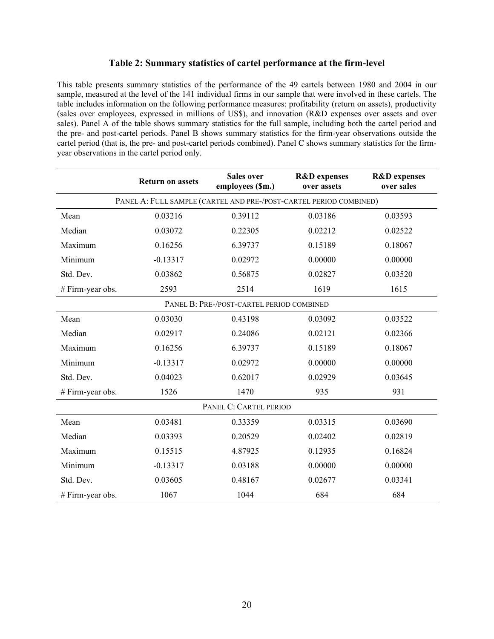# **Table 2: Summary statistics of cartel performance at the firm-level**

This table presents summary statistics of the performance of the 49 cartels between 1980 and 2004 in our sample, measured at the level of the 141 individual firms in our sample that were involved in these cartels. The table includes information on the following performance measures: profitability (return on assets), productivity (sales over employees, expressed in millions of US\$), and innovation (R&D expenses over assets and over sales). Panel A of the table shows summary statistics for the full sample, including both the cartel period and the pre- and post-cartel periods. Panel B shows summary statistics for the firm-year observations outside the cartel period (that is, the pre- and post-cartel periods combined). Panel C shows summary statistics for the firmyear observations in the cartel period only.

|                                                                    | <b>Return on assets</b> | <b>Sales over</b><br>employees (\$m.) | <b>R&amp;D</b> expenses<br>over assets | <b>R&amp;D</b> expenses<br>over sales |  |  |  |
|--------------------------------------------------------------------|-------------------------|---------------------------------------|----------------------------------------|---------------------------------------|--|--|--|
| PANEL A: FULL SAMPLE (CARTEL AND PRE-/POST-CARTEL PERIOD COMBINED) |                         |                                       |                                        |                                       |  |  |  |
| Mean                                                               | 0.03216                 | 0.39112                               | 0.03186                                | 0.03593                               |  |  |  |
| Median                                                             | 0.03072                 | 0.22305                               | 0.02212                                | 0.02522                               |  |  |  |
| Maximum                                                            | 0.16256                 | 6.39737                               | 0.15189                                | 0.18067                               |  |  |  |
| Minimum                                                            | $-0.13317$              | 0.02972                               | 0.00000                                | 0.00000                               |  |  |  |
| Std. Dev.                                                          | 0.03862                 | 0.56875                               | 0.02827                                | 0.03520                               |  |  |  |
| # Firm-year obs.                                                   | 2593                    | 2514                                  | 1619                                   | 1615                                  |  |  |  |
| PANEL B: PRE-/POST-CARTEL PERIOD COMBINED                          |                         |                                       |                                        |                                       |  |  |  |
| Mean                                                               | 0.03030                 | 0.43198                               | 0.03092                                | 0.03522                               |  |  |  |
| Median                                                             | 0.02917                 | 0.24086                               | 0.02121                                | 0.02366                               |  |  |  |
| Maximum                                                            | 0.16256                 | 6.39737                               | 0.15189                                | 0.18067                               |  |  |  |
| Minimum                                                            | $-0.13317$              | 0.02972                               | 0.00000                                | 0.00000                               |  |  |  |
| Std. Dev.                                                          | 0.04023                 | 0.62017                               | 0.02929                                | 0.03645                               |  |  |  |
| # Firm-year obs.                                                   | 1526                    | 1470                                  | 935                                    | 931                                   |  |  |  |
| PANEL C: CARTEL PERIOD                                             |                         |                                       |                                        |                                       |  |  |  |
| Mean                                                               | 0.03481                 | 0.33359                               | 0.03315                                | 0.03690                               |  |  |  |
| Median                                                             | 0.03393                 | 0.20529                               | 0.02402                                | 0.02819                               |  |  |  |
| Maximum                                                            | 0.15515                 | 4.87925                               | 0.12935                                | 0.16824                               |  |  |  |
| Minimum                                                            | $-0.13317$              | 0.03188                               | 0.00000                                | 0.00000                               |  |  |  |
| Std. Dev.                                                          | 0.03605                 | 0.48167                               | 0.02677                                | 0.03341                               |  |  |  |
| # Firm-year obs.                                                   | 1067                    | 1044                                  | 684                                    | 684                                   |  |  |  |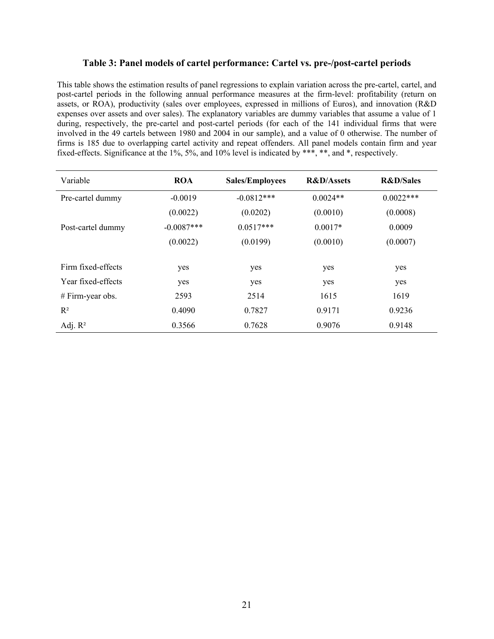# **Table 3: Panel models of cartel performance: Cartel vs. pre-/post-cartel periods**

This table shows the estimation results of panel regressions to explain variation across the pre-cartel, cartel, and post-cartel periods in the following annual performance measures at the firm-level: profitability (return on assets, or ROA), productivity (sales over employees, expressed in millions of Euros), and innovation (R&D expenses over assets and over sales). The explanatory variables are dummy variables that assume a value of 1 during, respectively, the pre-cartel and post-cartel periods (for each of the 141 individual firms that were involved in the 49 cartels between 1980 and 2004 in our sample), and a value of 0 otherwise. The number of firms is 185 due to overlapping cartel activity and repeat offenders. All panel models contain firm and year fixed-effects. Significance at the 1%, 5%, and 10% level is indicated by \*\*\*, \*\*, and \*, respectively.

| Variable           | <b>ROA</b>   | <b>Sales/Employees</b> | <b>R&amp;D/Assets</b> | <b>R&amp;D/Sales</b> |  |
|--------------------|--------------|------------------------|-----------------------|----------------------|--|
| Pre-cartel dummy   | $-0.0019$    | $-0.0812***$           | $0.0024**$            | $0.0022***$          |  |
|                    | (0.0022)     | (0.0202)               | (0.0010)              | (0.0008)             |  |
| Post-cartel dummy  | $-0.0087***$ | $0.0517***$            | $0.0017*$             | 0.0009               |  |
|                    | (0.0022)     | (0.0199)               | (0.0010)              | (0.0007)             |  |
|                    |              |                        |                       |                      |  |
| Firm fixed-effects | yes          | yes                    | yes                   | yes                  |  |
| Year fixed-effects | yes          | yes                    | yes                   | yes                  |  |
| $# Firm-year obs.$ | 2593         | 2514                   | 1615                  | 1619                 |  |
| $R^2$              | 0.4090       | 0.7827                 | 0.9171                | 0.9236               |  |
| Adj. $R^2$         | 0.3566       | 0.7628                 | 0.9076                | 0.9148               |  |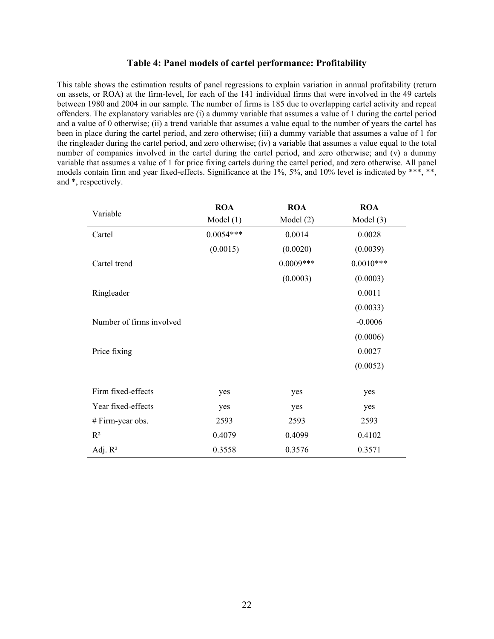# **Table 4: Panel models of cartel performance: Profitability**

This table shows the estimation results of panel regressions to explain variation in annual profitability (return on assets, or ROA) at the firm-level, for each of the 141 individual firms that were involved in the 49 cartels between 1980 and 2004 in our sample. The number of firms is 185 due to overlapping cartel activity and repeat offenders. The explanatory variables are (i) a dummy variable that assumes a value of 1 during the cartel period and a value of 0 otherwise; (ii) a trend variable that assumes a value equal to the number of years the cartel has been in place during the cartel period, and zero otherwise; (iii) a dummy variable that assumes a value of 1 for the ringleader during the cartel period, and zero otherwise; (iv) a variable that assumes a value equal to the total number of companies involved in the cartel during the cartel period, and zero otherwise; and (v) a dummy variable that assumes a value of 1 for price fixing cartels during the cartel period, and zero otherwise. All panel models contain firm and year fixed-effects. Significance at the 1%, 5%, and 10% level is indicated by \*\*\*, \*\*, and \*, respectively.

| Variable                 | <b>ROA</b>  | <b>ROA</b>  | <b>ROA</b>  |
|--------------------------|-------------|-------------|-------------|
|                          | Model $(1)$ | Model(2)    | Model $(3)$ |
| Cartel                   | $0.0054***$ | 0.0014      | 0.0028      |
|                          | (0.0015)    | (0.0020)    | (0.0039)    |
| Cartel trend             |             | $0.0009***$ | $0.0010***$ |
|                          |             | (0.0003)    | (0.0003)    |
| Ringleader               |             |             | 0.0011      |
|                          |             |             | (0.0033)    |
| Number of firms involved |             |             | $-0.0006$   |
|                          |             |             | (0.0006)    |
| Price fixing             |             |             | 0.0027      |
|                          |             |             | (0.0052)    |
| Firm fixed-effects       | yes         | yes         | yes         |
| Year fixed-effects       | yes         | yes         | yes         |
| # Firm-year obs.         | 2593        | 2593        | 2593        |
| $R^2$                    | 0.4079      | 0.4099      | 0.4102      |
| Adj. $R^2$               | 0.3558      | 0.3576      | 0.3571      |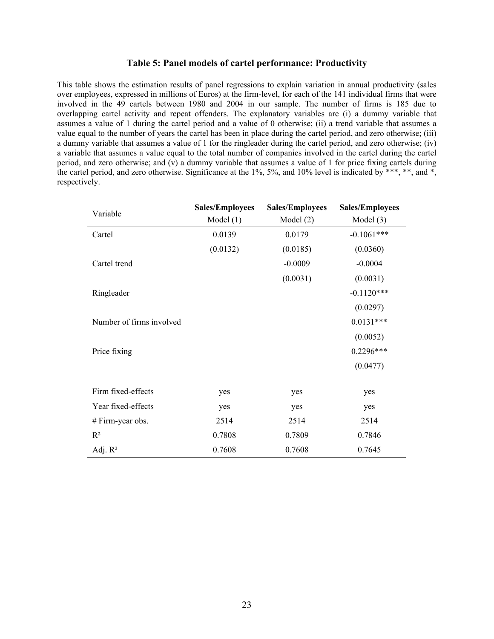# **Table 5: Panel models of cartel performance: Productivity**

This table shows the estimation results of panel regressions to explain variation in annual productivity (sales over employees, expressed in millions of Euros) at the firm-level, for each of the 141 individual firms that were involved in the 49 cartels between 1980 and 2004 in our sample. The number of firms is 185 due to overlapping cartel activity and repeat offenders. The explanatory variables are (i) a dummy variable that assumes a value of 1 during the cartel period and a value of 0 otherwise; (ii) a trend variable that assumes a value equal to the number of years the cartel has been in place during the cartel period, and zero otherwise; (iii) a dummy variable that assumes a value of 1 for the ringleader during the cartel period, and zero otherwise; (iv) a variable that assumes a value equal to the total number of companies involved in the cartel during the cartel period, and zero otherwise; and (v) a dummy variable that assumes a value of 1 for price fixing cartels during the cartel period, and zero otherwise. Significance at the 1%, 5%, and 10% level is indicated by \*\*\*, \*\*, and \*, respectively.

| Variable                 | <b>Sales/Employees</b><br>Model $(1)$ | <b>Sales/Employees</b><br>Model $(2)$ | <b>Sales/Employees</b><br>Model $(3)$ |  |
|--------------------------|---------------------------------------|---------------------------------------|---------------------------------------|--|
| Cartel                   | 0.0139                                | 0.0179                                | $-0.1061***$                          |  |
|                          | (0.0132)                              | (0.0185)                              | (0.0360)                              |  |
| Cartel trend             |                                       | $-0.0009$                             | $-0.0004$                             |  |
|                          |                                       | (0.0031)                              | (0.0031)                              |  |
| Ringleader               |                                       |                                       | $-0.1120***$                          |  |
|                          |                                       |                                       | (0.0297)                              |  |
| Number of firms involved |                                       |                                       | $0.0131***$                           |  |
|                          |                                       |                                       | (0.0052)                              |  |
| Price fixing             |                                       |                                       | 0.2296***                             |  |
|                          |                                       |                                       | (0.0477)                              |  |
| Firm fixed-effects       | yes                                   | yes                                   | yes                                   |  |
| Year fixed-effects       | yes                                   | yes                                   | yes                                   |  |
| $# Firm-year obs.$       | 2514                                  | 2514                                  | 2514                                  |  |
| $R^2$                    | 0.7808                                | 0.7809                                | 0.7846                                |  |
| Adj. $R^2$               | 0.7608                                | 0.7608                                | 0.7645                                |  |